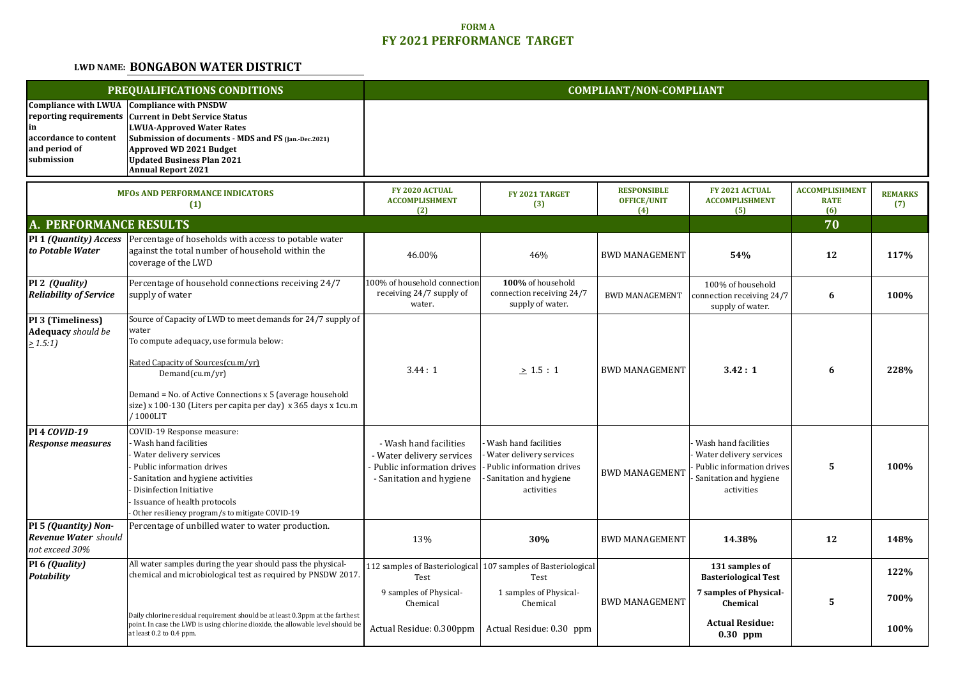## **FORM AFY 2021 PERFORMANCE TARGET**

## **LWD NAME: BONGABON WATER DISTRICT**

| PREQUALIFICATIONS CONDITIONS                                                                                        |                                                                                                                                                                                                                                                                                                                             | <b>COMPLIANT/NON-COMPLIANT</b>                                                                               |                                                                                                                                         |                                                 |                                                                                                                             |                                             |                       |  |
|---------------------------------------------------------------------------------------------------------------------|-----------------------------------------------------------------------------------------------------------------------------------------------------------------------------------------------------------------------------------------------------------------------------------------------------------------------------|--------------------------------------------------------------------------------------------------------------|-----------------------------------------------------------------------------------------------------------------------------------------|-------------------------------------------------|-----------------------------------------------------------------------------------------------------------------------------|---------------------------------------------|-----------------------|--|
| <b>Compliance with LWUA</b><br>reporting requirements<br>in<br>accordance to content<br>and period of<br>submission | <b>Compliance with PNSDW</b><br><b>Current in Debt Service Status</b><br><b>LWUA-Approved Water Rates</b><br>Submission of documents - MDS and FS (Jan.-Dec.2021)<br>Approved WD 2021 Budget<br><b>Updated Business Plan 2021</b><br><b>Annual Report 2021</b>                                                              |                                                                                                              |                                                                                                                                         |                                                 |                                                                                                                             |                                             |                       |  |
| <b>MFOs AND PERFORMANCE INDICATORS</b><br>(1)                                                                       |                                                                                                                                                                                                                                                                                                                             | FY 2020 ACTUAL<br><b>ACCOMPLISHMENT</b><br>(2)                                                               | FY 2021 TARGET<br>(3)                                                                                                                   | <b>RESPONSIBLE</b><br><b>OFFICE/UNIT</b><br>(4) | FY 2021 ACTUAL<br><b>ACCOMPLISHMENT</b><br>(5)                                                                              | <b>ACCOMPLISHMENT</b><br><b>RATE</b><br>(6) | <b>REMARKS</b><br>(7) |  |
| A. PERFORMANCE RESULTS                                                                                              |                                                                                                                                                                                                                                                                                                                             |                                                                                                              |                                                                                                                                         |                                                 |                                                                                                                             | 70                                          |                       |  |
| PI 1 (Quantity) Access<br>to Potable Water                                                                          | Percentage of hoseholds with access to potable water<br>against the total number of household within the<br>coverage of the LWD                                                                                                                                                                                             | 46.00%                                                                                                       | 46%                                                                                                                                     | <b>BWD MANAGEMENT</b>                           | 54%                                                                                                                         | 12                                          | 117%                  |  |
| PI 2 (Quality)<br><b>Reliability of Service</b>                                                                     | Percentage of household connections receiving 24/7<br>supply of water                                                                                                                                                                                                                                                       | 100% of household connection<br>receiving 24/7 supply of<br>water.                                           | 100% of household<br>connection receiving 24/7<br>supply of water.                                                                      | <b>BWD MANAGEMENT</b>                           | 100% of household<br>connection receiving 24/7<br>supply of water.                                                          | 6                                           | 100%                  |  |
| PI 3 (Timeliness)<br><b>Adequacy</b> should be<br>> 1.5:1                                                           | Source of Capacity of LWD to meet demands for 24/7 supply of<br>water<br>To compute adequacy, use formula below:<br>Rated Capacity of Sources(cu.m/yr)<br>Demand(cu.m/yr)<br>Demand = No. of Active Connections x 5 (average household<br>size) x 100-130 (Liters per capita per day) x 365 days x 1cu.m<br>/1000LIT        | 3.44:1                                                                                                       | $\geq 1.5:1$                                                                                                                            | <b>BWD MANAGEMENT</b>                           | 3.42:1                                                                                                                      | 6                                           | 228%                  |  |
| <b>PI 4 COVID-19</b><br><b>Response measures</b>                                                                    | COVID-19 Response measure:<br>Wash hand facilities<br>Water delivery services<br>Public information drives<br>Sanitation and hygiene activities<br>Disinfection Initiative<br>Issuance of health protocols<br>Other resiliency program/s to mitigate COVID-19                                                               | - Wash hand facilities<br>- Water delivery services<br>Public information drives<br>- Sanitation and hygiene | Wash hand facilities<br>Water delivery services<br>Public information drives<br>Sanitation and hygiene<br>activities                    | <b>BWD MANAGEMENT</b>                           | Wash hand facilities<br>Water delivery services<br>Public information drives<br>Sanitation and hygiene<br>activities        | 5                                           | 100%                  |  |
| PI 5 (Quantity) $\overline{Non}$<br><b>Revenue Water</b> should<br>not exceed 30%                                   | Percentage of unbilled water to water production.                                                                                                                                                                                                                                                                           | 13%                                                                                                          | 30%                                                                                                                                     | <b>BWD MANAGEMENT</b>                           | 14.38%                                                                                                                      | 12                                          | 148%                  |  |
| PI 6 (Quality)<br><b>Potability</b>                                                                                 | All water samples during the year should pass the physical-<br>chemical and microbiological test as required by PNSDW 2017.<br>Daily chlorine residual requirement should be at least 0.3ppm at the farthest<br>point. In case the LWD is using chlorine dioxide, the allowable level should be<br>at least 0.2 to 0.4 ppm. | Test<br>9 samples of Physical-<br>Chemical<br>Actual Residue: 0.300ppm                                       | 112 samples of Basteriological 107 samples of Basteriological<br>Test<br>1 samples of Physical-<br>Chemical<br>Actual Residue: 0.30 ppm | <b>BWD MANAGEMENT</b>                           | 131 samples of<br><b>Basteriological Test</b><br>7 samples of Physical-<br>Chemical<br><b>Actual Residue:</b><br>$0.30$ ppm | 5                                           | 122%<br>700%<br>100%  |  |